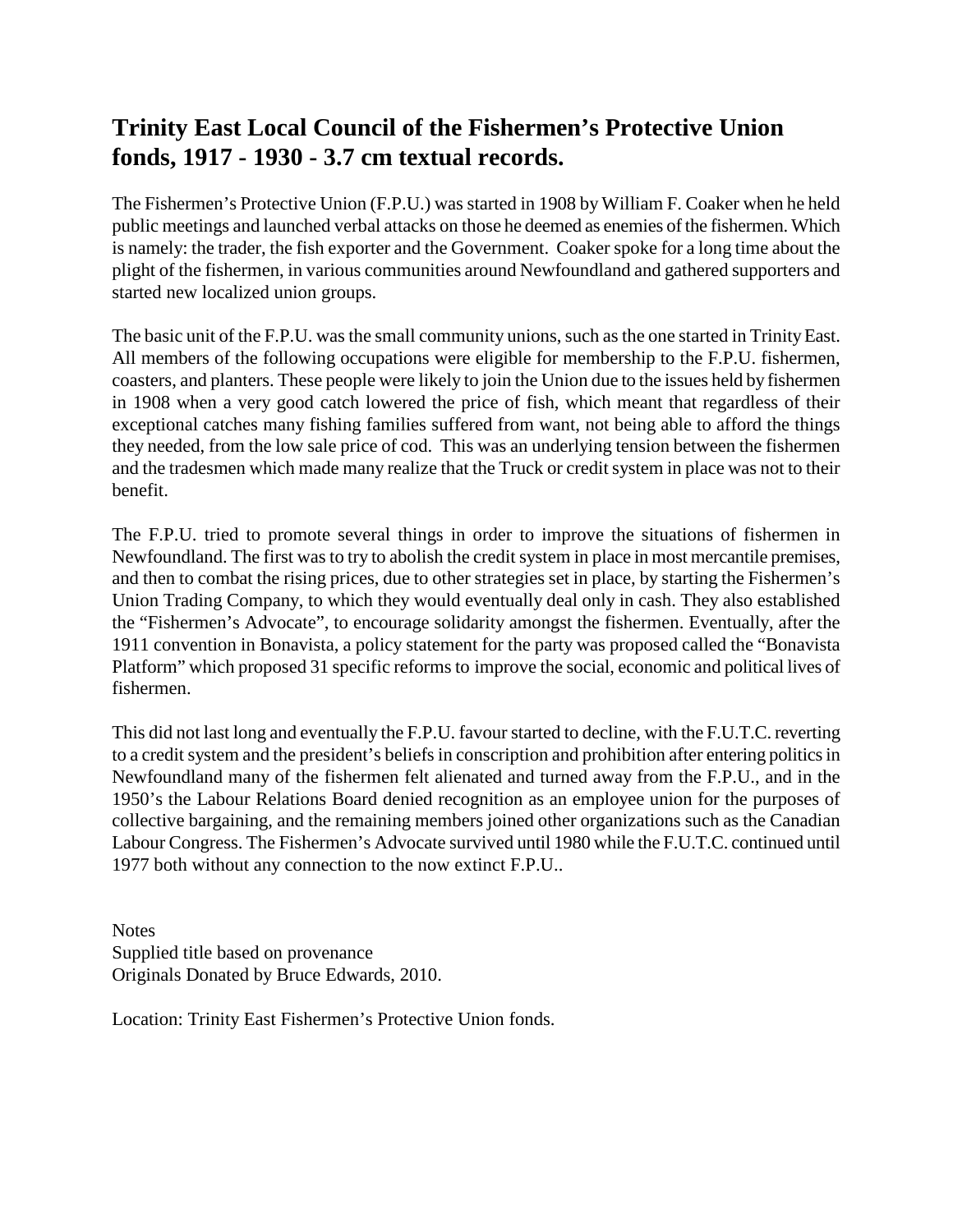## **Trinity East Local Council of the Fishermen's Protective Union fonds, 1917 - 1930 - 3.7 cm textual records.**

The Fishermen's Protective Union (F.P.U.) was started in 1908 by William F. Coaker when he held public meetings and launched verbal attacks on those he deemed as enemies of the fishermen. Which is namely: the trader, the fish exporter and the Government. Coaker spoke for a long time about the plight of the fishermen, in various communities around Newfoundland and gathered supporters and started new localized union groups.

The basic unit of the F.P.U. was the small community unions, such as the one started in Trinity East. All members of the following occupations were eligible for membership to the F.P.U. fishermen, coasters, and planters. These people were likely to join the Union due to the issues held by fishermen in 1908 when a very good catch lowered the price of fish, which meant that regardless of their exceptional catches many fishing families suffered from want, not being able to afford the things they needed, from the low sale price of cod. This was an underlying tension between the fishermen and the tradesmen which made many realize that the Truck or credit system in place was not to their benefit.

The F.P.U. tried to promote several things in order to improve the situations of fishermen in Newfoundland. The first was to try to abolish the credit system in place in most mercantile premises, and then to combat the rising prices, due to other strategies set in place, by starting the Fishermen's Union Trading Company, to which they would eventually deal only in cash. They also established the "Fishermen's Advocate", to encourage solidarity amongst the fishermen. Eventually, after the 1911 convention in Bonavista, a policy statement for the party was proposed called the "Bonavista Platform" which proposed 31 specific reforms to improve the social, economic and political lives of fishermen.

This did not last long and eventually the F.P.U. favour started to decline, with the F.U.T.C. reverting to a credit system and the president's beliefs in conscription and prohibition after entering politics in Newfoundland many of the fishermen felt alienated and turned away from the F.P.U., and in the 1950's the Labour Relations Board denied recognition as an employee union for the purposes of collective bargaining, and the remaining members joined other organizations such as the Canadian Labour Congress. The Fishermen's Advocate survived until 1980 while the F.U.T.C. continued until 1977 both without any connection to the now extinct F.P.U..

**Notes** Supplied title based on provenance Originals Donated by Bruce Edwards, 2010.

Location: Trinity East Fishermen's Protective Union fonds.